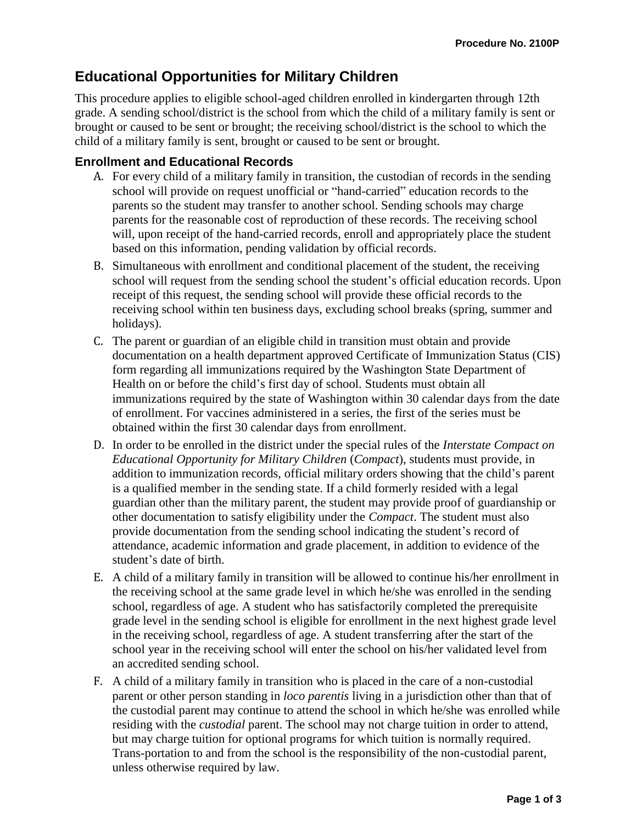# **Educational Opportunities for Military Children**

This procedure applies to eligible school-aged children enrolled in kindergarten through 12th grade. A sending school/district is the school from which the child of a military family is sent or brought or caused to be sent or brought; the receiving school/district is the school to which the child of a military family is sent, brought or caused to be sent or brought.

## **Enrollment and Educational Records**

- A. For every child of a military family in transition, the custodian of records in the sending school will provide on request unofficial or "hand-carried" education records to the parents so the student may transfer to another school. Sending schools may charge parents for the reasonable cost of reproduction of these records. The receiving school will, upon receipt of the hand-carried records, enroll and appropriately place the student based on this information, pending validation by official records.
- B. Simultaneous with enrollment and conditional placement of the student, the receiving school will request from the sending school the student's official education records. Upon receipt of this request, the sending school will provide these official records to the receiving school within ten business days, excluding school breaks (spring, summer and holidays).
- C. The parent or guardian of an eligible child in transition must obtain and provide documentation on a health department approved Certificate of Immunization Status (CIS) form regarding all immunizations required by the Washington State Department of Health on or before the child's first day of school. Students must obtain all immunizations required by the state of Washington within 30 calendar days from the date of enrollment. For vaccines administered in a series, the first of the series must be obtained within the first 30 calendar days from enrollment.
- D. In order to be enrolled in the district under the special rules of the *Interstate Compact on Educational Opportunity for Military Children* (*Compact*), students must provide, in addition to immunization records, official military orders showing that the child's parent is a qualified member in the sending state. If a child formerly resided with a legal guardian other than the military parent, the student may provide proof of guardianship or other documentation to satisfy eligibility under the *Compact*. The student must also provide documentation from the sending school indicating the student's record of attendance, academic information and grade placement, in addition to evidence of the student's date of birth.
- E. A child of a military family in transition will be allowed to continue his/her enrollment in the receiving school at the same grade level in which he/she was enrolled in the sending school, regardless of age. A student who has satisfactorily completed the prerequisite grade level in the sending school is eligible for enrollment in the next highest grade level in the receiving school, regardless of age. A student transferring after the start of the school year in the receiving school will enter the school on his/her validated level from an accredited sending school.
- F. A child of a military family in transition who is placed in the care of a non-custodial parent or other person standing in *loco parentis* living in a jurisdiction other than that of the custodial parent may continue to attend the school in which he/she was enrolled while residing with the *custodial* parent. The school may not charge tuition in order to attend, but may charge tuition for optional programs for which tuition is normally required. Trans-portation to and from the school is the responsibility of the non-custodial parent, unless otherwise required by law.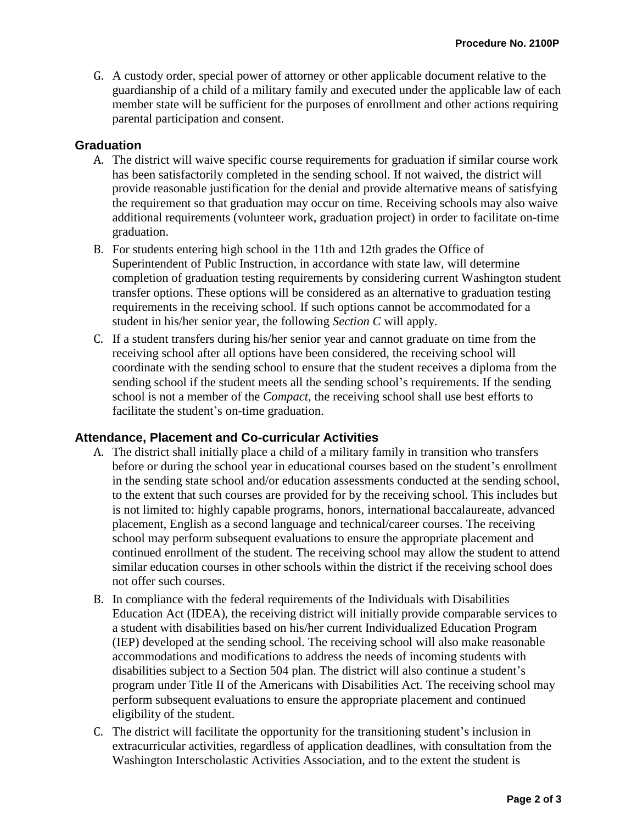G. A custody order, special power of attorney or other applicable document relative to the guardianship of a child of a military family and executed under the applicable law of each member state will be sufficient for the purposes of enrollment and other actions requiring parental participation and consent.

## **Graduation**

- A. The district will waive specific course requirements for graduation if similar course work has been satisfactorily completed in the sending school. If not waived, the district will provide reasonable justification for the denial and provide alternative means of satisfying the requirement so that graduation may occur on time. Receiving schools may also waive additional requirements (volunteer work, graduation project) in order to facilitate on-time graduation.
- B. For students entering high school in the 11th and 12th grades the Office of Superintendent of Public Instruction, in accordance with state law, will determine completion of graduation testing requirements by considering current Washington student transfer options. These options will be considered as an alternative to graduation testing requirements in the receiving school. If such options cannot be accommodated for a student in his/her senior year, the following *Section C* will apply.
- C. If a student transfers during his/her senior year and cannot graduate on time from the receiving school after all options have been considered, the receiving school will coordinate with the sending school to ensure that the student receives a diploma from the sending school if the student meets all the sending school's requirements. If the sending school is not a member of the *Compact*, the receiving school shall use best efforts to facilitate the student's on-time graduation.

## **Attendance, Placement and Co-curricular Activities**

- A. The district shall initially place a child of a military family in transition who transfers before or during the school year in educational courses based on the student's enrollment in the sending state school and/or education assessments conducted at the sending school, to the extent that such courses are provided for by the receiving school. This includes but is not limited to: highly capable programs, honors, international baccalaureate, advanced placement, English as a second language and technical/career courses. The receiving school may perform subsequent evaluations to ensure the appropriate placement and continued enrollment of the student. The receiving school may allow the student to attend similar education courses in other schools within the district if the receiving school does not offer such courses.
- B. In compliance with the federal requirements of the Individuals with Disabilities Education Act (IDEA), the receiving district will initially provide comparable services to a student with disabilities based on his/her current Individualized Education Program (IEP) developed at the sending school. The receiving school will also make reasonable accommodations and modifications to address the needs of incoming students with disabilities subject to a Section 504 plan. The district will also continue a student's program under Title II of the Americans with Disabilities Act. The receiving school may perform subsequent evaluations to ensure the appropriate placement and continued eligibility of the student.
- C. The district will facilitate the opportunity for the transitioning student's inclusion in extracurricular activities, regardless of application deadlines, with consultation from the Washington Interscholastic Activities Association, and to the extent the student is